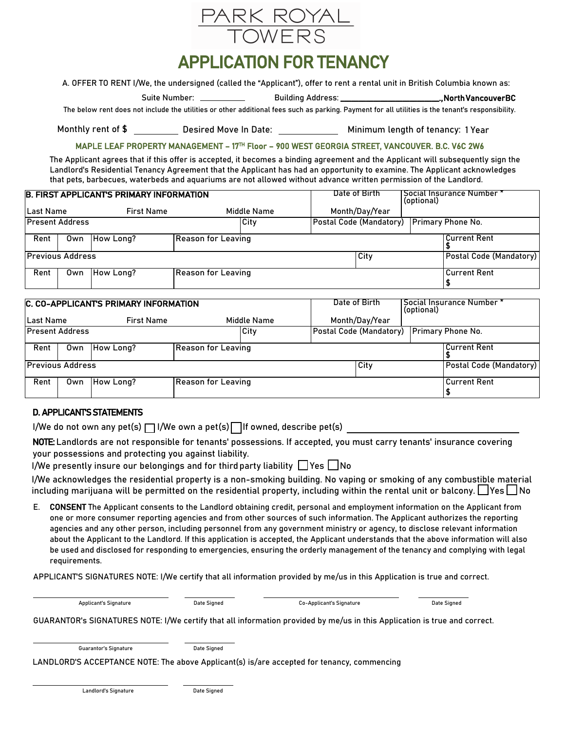

## APPLICATION FOR TENANCY

A. OFFER TO RENT I/We, the undersigned (called the "Applicant"), offer to rent a rental unit in British Columbia known as:

Suite Number: Building Address: \_\_\_\_\_\_\_\_\_\_\_\_\_\_\_\_\_\_\_\_\_\_\_\_\_\_\_., North Vancouver BC

The below rent does not include the utilities or other additional fees such as parking. Payment for all utilities is the tenant's responsibility.

Monthly rent of \$ \_\_\_\_\_\_\_\_\_\_\_ Desired Move In Date: \_\_\_\_\_\_\_\_\_\_\_\_\_\_\_\_ Minimum length of tenancy: 1 Year

## MAPLE LEAF PROPERTY MANAGEMENT – 17TH Floor – 900 WEST GEORGIA STREET, VANCOUVER. B.C. V6C 2W6

The Applicant agrees that if this offer is accepted, it becomes a binding agreement and the Applicant will subsequently sign the Landlord's Residential Tenancy Agreement that the Applicant has had an opportunity to examine. The Applicant acknowledges that pets, barbecues, waterbeds and aquariums are not allowed without advance written permission of the Landlord.

| <b>B. FIRST APPLICANTS PRIMARY INFORMATION</b> |     |                   |                           |             |  | Date of Birth<br>(optional)                 | "Social Insurance Number |                     |  |
|------------------------------------------------|-----|-------------------|---------------------------|-------------|--|---------------------------------------------|--------------------------|---------------------|--|
| Last Name                                      |     | <b>First Name</b> |                           | Middle Name |  | Month/Day/Year                              |                          |                     |  |
| <b>Present Address</b>                         |     |                   |                           | City        |  | Postal Code (Mandatory)   Primary Phone No. |                          |                     |  |
| Rent                                           |     | Own   How Long?   | <b>Reason for Leaving</b> |             |  |                                             |                          | Current Rent        |  |
| <b>Previous Address</b>                        |     |                   |                           |             |  | City                                        | Postal Code (Mandatory)  |                     |  |
| Rent                                           | Own | How Long?         | Reason for Leaving        |             |  |                                             |                          | <b>Current Rent</b> |  |

| C. CO-APPLICANTS PRIMARY INFORMATION |     |                   |                    |             |  | Date of Birth                             | (optional) | I Social Insurance Number * |  |
|--------------------------------------|-----|-------------------|--------------------|-------------|--|-------------------------------------------|------------|-----------------------------|--|
| Last Name                            |     | <b>First Name</b> |                    | Middle Name |  | Month/Day/Year                            |            |                             |  |
| <b>Present Address</b>               |     |                   |                    | <b>City</b> |  | Postal Code (Mandatory) Primary Phone No. |            |                             |  |
| Rent                                 | Own | How Long?         | Reason for Leaving |             |  |                                           |            | <b>Current Rent</b>         |  |
| <b>Previous Address</b>              |     |                   |                    |             |  | City                                      |            | Postal Code (Mandatory)     |  |
| Rent                                 | Own | How Long?         | Reason for Leaving |             |  |                                           |            | l Current Rent              |  |

## D. APPLICANT'S STATEMENTS

I/We do not own any pet(s)  $\Box$  I/We own a pet(s)  $\Box$  If owned, describe pet(s)

NOTE: Landlords are not responsible for tenants' possessions. If accepted, you must carry tenants' insurance covering your possessions and protecting you against liability.

I/We presently insure our belongings and for third party liability  $\Box$  Yes  $\Box$  No

I/We acknowledges the residential property is a non-smoking building. No vaping or smoking of any combustible material including marijuana will be permitted on the residential property, including within the rental unit or balcony.  $\Box$  Yes  $\Box$  No

E. CONSENT The Applicant consents to the Landlord obtaining credit, personal and employment information on the Applicant from one or more consumer reporting agencies and from other sources of such information. The Applicant authorizes the reporting agencies and any other person, including personnel from any government ministry or agency, to disclose relevant information about the Applicant to the Landlord. If this application is accepted, the Applicant understands that the above information will also be used and disclosed for responding to emergencies, ensuring the orderly management of the tenancy and complying with legal requirements.

APPLICANT'S SIGNATURES NOTE: I/We certify that all information provided by me/us in this Application is true and correct.

Applicant's Signature Date Signed Co-Applicant's Signature Date Signed

GUARANTOR's SIGNATURES NOTE: I/We certify that all information provided by me/us in this Application is true and correct.

Guarantor's Signature **Date Signed** 

LANDLORD'S ACCEPTANCE NOTE: The above Applicant(s) is/are accepted for tenancy, commencing